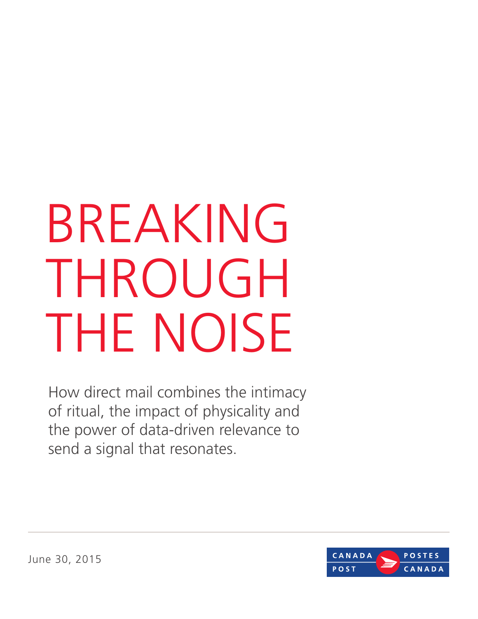# BREAKING THROUGH THE NOISE

How direct mail combines the intimacy of ritual, the impact of physicality and the power of data-driven relevance to send a signal that resonates.



June 30, 2015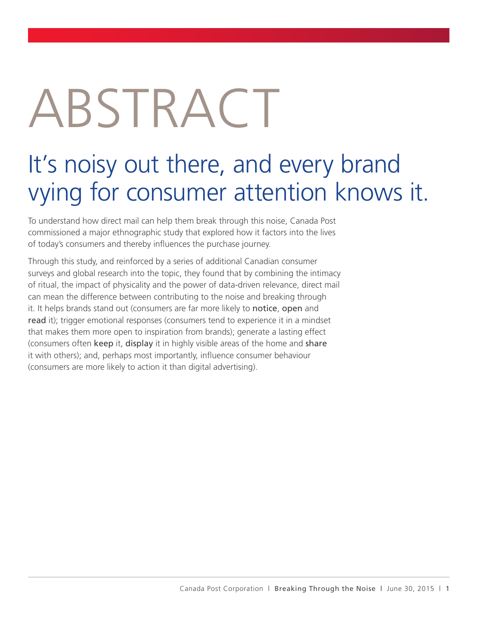# ABSTRACT

## It's noisy out there, and every brand vying for consumer attention knows it.

To understand how direct mail can help them break through this noise, Canada Post commissioned a major ethnographic study that explored how it factors into the lives of today's consumers and thereby influences the purchase journey.

Through this study, and reinforced by a series of additional Canadian consumer surveys and global research into the topic, they found that by combining the intimacy of ritual, the impact of physicality and the power of data-driven relevance, direct mail can mean the difference between contributing to the noise and breaking through it. It helps brands stand out (consumers are far more likely to notice, open and read it); trigger emotional responses (consumers tend to experience it in a mindset that makes them more open to inspiration from brands); generate a lasting effect (consumers often keep it, display it in highly visible areas of the home and share it with others); and, perhaps most importantly, influence consumer behaviour (consumers are more likely to action it than digital advertising).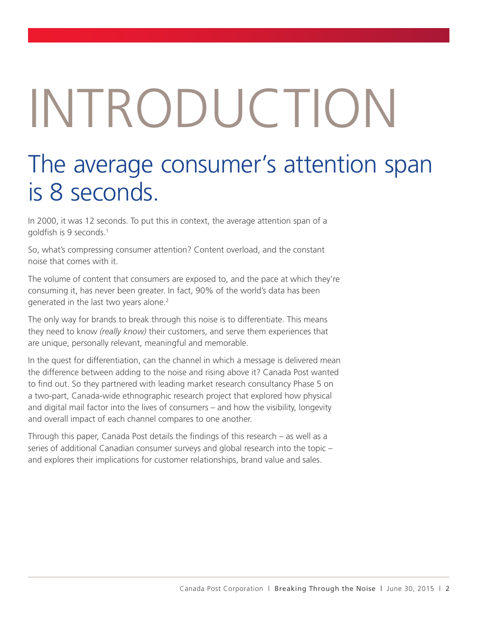# INTRODUCTION

#### The average consumer's attention span is 8 seconds.

In 2000, it was 12 seconds. To put this in context, the average attention span of a goldfish is 9 seconds.1

So, what's compressing consumer attention? Content overload, and the constant noise that comes with it.

The volume of content that consumers are exposed to, and the pace at which they're consuming it, has never been greater. In fact, 90% of the world's data has been generated in the last two years alone.<sup>2</sup>

The only way for brands to break through this noise is to differentiate. This means they need to know *(really know)* their customers, and serve them experiences that are unique, personally relevant, meaningful and memorable.

In the quest for differentiation, can the channel in which a message is delivered mean the difference between adding to the noise and rising above it? Canada Post wanted to find out. So they partnered with leading market research consultancy Phase 5 on a two-part, Canada-wide ethnographic research project that explored how physical and digital mail factor into the lives of consumers – and how the visibility, longevity and overall impact of each channel compares to one another.

Through this paper, Canada Post details the findings of this research – as well as a series of additional Canadian consumer surveys and global research into the topic – and explores their implications for customer relationships, brand value and sales.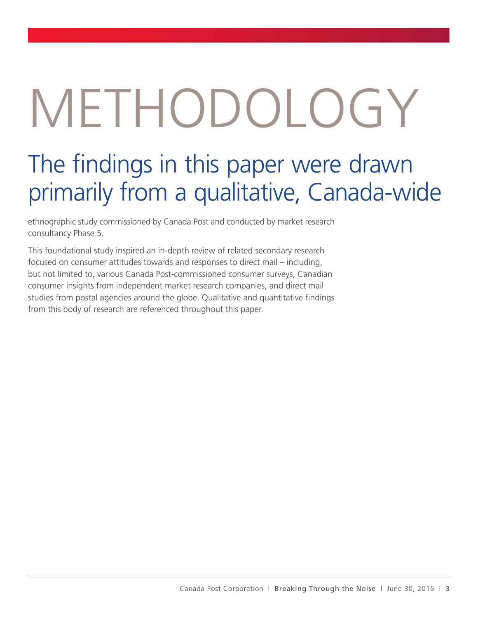# METHODOLOGY

### The findings in this paper were drawn primarily from a qualitative, Canada-wide

ethnographic study commissioned by Canada Post and conducted by market research consultancy Phase 5.

This foundational study inspired an in-depth review of related secondary research focused on consumer attitudes towards and responses to direct mail – including, but not limited to, various Canada Post-commissioned consumer surveys, Canadian consumer insights from independent market research companies, and direct mail studies from postal agencies around the globe. Qualitative and quantitative findings from this body of research are referenced throughout this paper.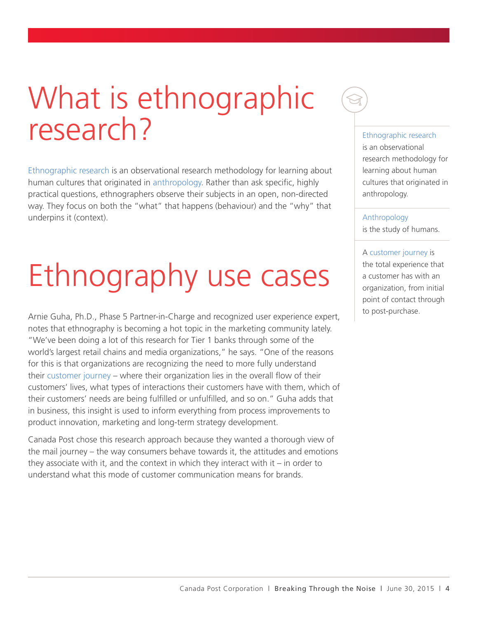# What is ethnographic research?

Ethnographic research is an observational research methodology for learning about human cultures that originated in anthropology. Rather than ask specific, highly practical questions, ethnographers observe their subjects in an open, non-directed way. They focus on both the "what" that happens (behaviour) and the "why" that underpins it (context).

# Ethnography use cases

Arnie Guha, Ph.D., Phase 5 Partner-in-Charge and recognized user experience expert, notes that ethnography is becoming a hot topic in the marketing community lately. "We've been doing a lot of this research for Tier 1 banks through some of the world's largest retail chains and media organizations," he says. "One of the reasons for this is that organizations are recognizing the need to more fully understand their customer journey – where their organization lies in the overall flow of their customers' lives, what types of interactions their customers have with them, which of their customers' needs are being fulfilled or unfulfilled, and so on." Guha adds that in business, this insight is used to inform everything from process improvements to product innovation, marketing and long-term strategy development.

Canada Post chose this research approach because they wanted a thorough view of the mail journey – the way consumers behave towards it, the attitudes and emotions they associate with it, and the context in which they interact with it  $-$  in order to understand what this mode of customer communication means for brands.

#### Ethnographic research

is an observational research methodology for learning about human cultures that originated in anthropology.

#### Anthropology

is the study of humans.

A customer journey is the total experience that a customer has with an organization, from initial point of contact through to post-purchase.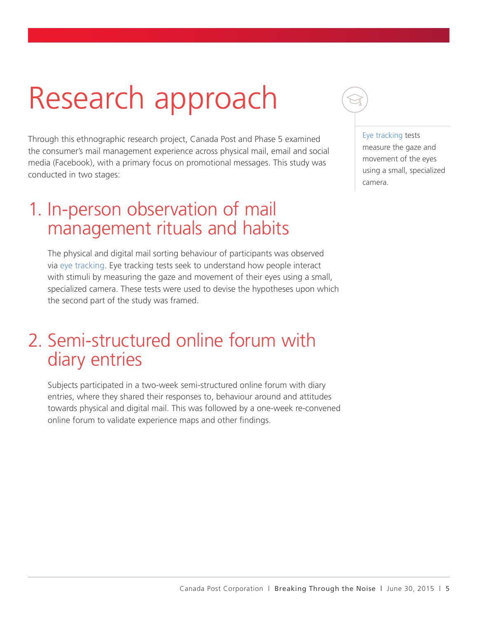# Research approach

Through this ethnographic research project, Canada Post and Phase 5 examined the consumer's mail management experience across physical mail, email and social media (Facebook), with a primary focus on promotional messages. This study was conducted in two stages:

#### 1. In-person observation of mail management rituals and habits

The physical and digital mail sorting behaviour of participants was observed via eye tracking. Eye tracking tests seek to understand how people interact with stimuli by measuring the gaze and movement of their eyes using a small, specialized camera. These tests were used to devise the hypotheses upon which the second part of the study was framed.

#### 2. Semi-structured online forum with diary entries

Subjects participated in a two-week semi-structured online forum with diary entries, where they shared their responses to, behaviour around and attitudes towards physical and digital mail. This was followed by a one-week re-convened online forum to validate experience maps and other findings.



#### Eye tracking tests

measure the gaze and movement of the eyes using a small, specialized camera.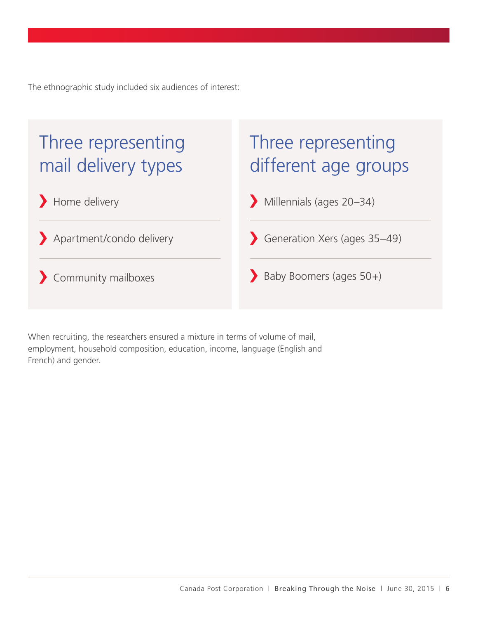The ethnographic study included six audiences of interest:

#### Three representing mail delivery types

#### Three representing different age groups

Home delivery Millennials (ages 20–34)

Apartment/condo delivery **Generation Xers (ages 35–49)** 

Community mailboxes Baby Boomers (ages 50+)

When recruiting, the researchers ensured a mixture in terms of volume of mail, employment, household composition, education, income, language (English and French) and gender.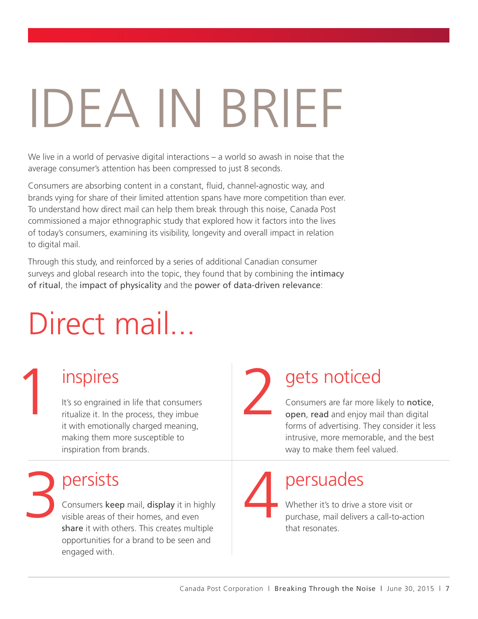# IDEA IN BRIEF

We live in a world of pervasive digital interactions – a world so awash in noise that the average consumer's attention has been compressed to just 8 seconds.

Consumers are absorbing content in a constant, fluid, channel-agnostic way, and brands vying for share of their limited attention spans have more competition than ever. To understand how direct mail can help them break through this noise, Canada Post commissioned a major ethnographic study that explored how it factors into the lives of today's consumers, examining its visibility, longevity and overall impact in relation to digital mail.

Through this study, and reinforced by a series of additional Canadian consumer surveys and global research into the topic, they found that by combining the intimacy of ritual, the impact of physicality and the power of data-driven relevance:

# Direct mail...

#### inspires

Inspires<br>
It's so engrained in life that consumers<br>
ritualize it. In the process, they imbue<br>
it with emotionally charged meaning It's so engrained in life that consumers ritualize it. In the process, they imbue it with emotionally charged meaning, making them more susceptible to inspiration from brands.

#### persists

3 4 Consumers keep mail, display it in highly visible areas of their homes, and even share it with others. This creates multiple opportunities for a brand to be seen and engaged with.

#### gets noticed

Consumers are far more likely to notice, open, read and enjoy mail than digital forms of advertising. They consider it less intrusive, more memorable, and the best way to make them feel valued.

persuades

Whether it's to drive a store visit or purchase, mail delivers a call-to-action that resonates.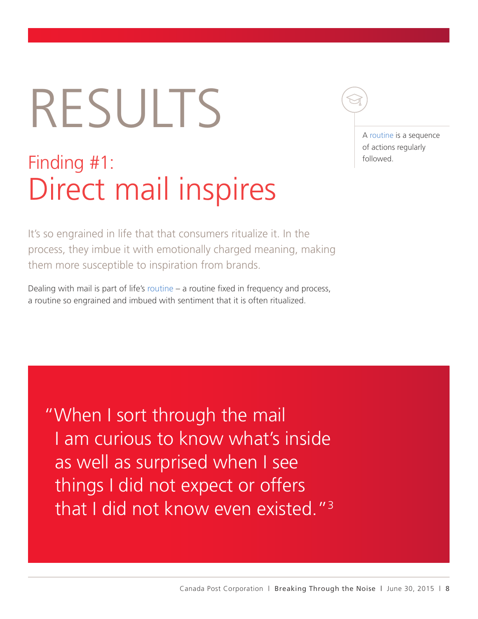# RESULTS

### Finding #1: Direct mail inspires

A routine is a sequence of actions regularly followed.

It's so engrained in life that that consumers ritualize it. In the process, they imbue it with emotionally charged meaning, making them more susceptible to inspiration from brands.

Dealing with mail is part of life's routine – a routine fixed in frequency and process, a routine so engrained and imbued with sentiment that it is often ritualized.

"When I sort through the mail I am curious to know what's inside as well as surprised when I see things I did not expect or offers that I did not know even existed."3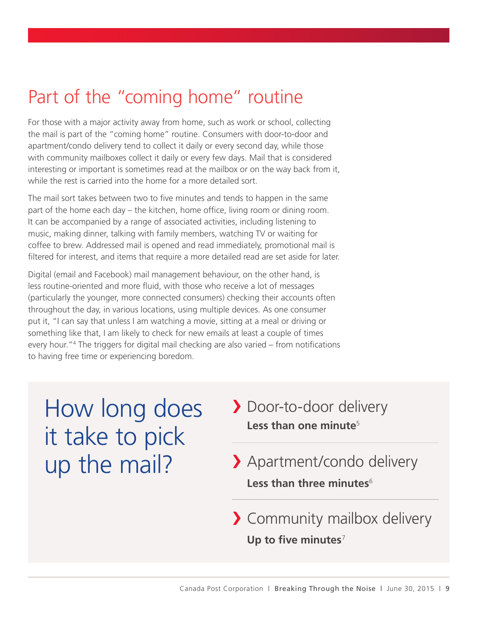#### Part of the "coming home" routine

For those with a major activity away from home, such as work or school, collecting the mail is part of the "coming home" routine. Consumers with door-to-door and apartment/condo delivery tend to collect it daily or every second day, while those with community mailboxes collect it daily or every few days. Mail that is considered interesting or important is sometimes read at the mailbox or on the way back from it, while the rest is carried into the home for a more detailed sort.

The mail sort takes between two to five minutes and tends to happen in the same part of the home each day – the kitchen, home office, living room or dining room. It can be accompanied by a range of associated activities, including listening to music, making dinner, talking with family members, watching TV or waiting for coffee to brew. Addressed mail is opened and read immediately, promotional mail is filtered for interest, and items that require a more detailed read are set aside for later.

Digital (email and Facebook) mail management behaviour, on the other hand, is less routine-oriented and more fluid, with those who receive a lot of messages (particularly the younger, more connected consumers) checking their accounts often throughout the day, in various locations, using multiple devices. As one consumer put it, "I can say that unless I am watching a movie, sitting at a meal or driving or something like that, I am likely to check for new emails at least a couple of times every hour."4 The triggers for digital mail checking are also varied – from notifications to having free time or experiencing boredom.

How long does it take to pick up the mail?

- Door-to-door delivery Less than one minute<sup>5</sup>
- Less than three minutes<sup>6</sup> Apartment/condo delivery
- **Up to five minutes**<sup>7</sup> > Community mailbox delivery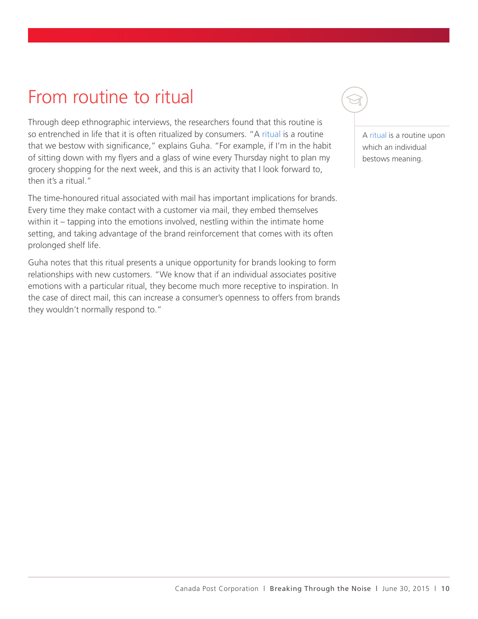#### From routine to ritual

Through deep ethnographic interviews, the researchers found that this routine is so entrenched in life that it is often ritualized by consumers. "A ritual is a routine that we bestow with significance," explains Guha. "For example, if I'm in the habit of sitting down with my flyers and a glass of wine every Thursday night to plan my grocery shopping for the next week, and this is an activity that I look forward to, then it's a ritual."

The time-honoured ritual associated with mail has important implications for brands. Every time they make contact with a customer via mail, they embed themselves within it – tapping into the emotions involved, nestling within the intimate home setting, and taking advantage of the brand reinforcement that comes with its often prolonged shelf life.

Guha notes that this ritual presents a unique opportunity for brands looking to form relationships with new customers. "We know that if an individual associates positive emotions with a particular ritual, they become much more receptive to inspiration. In the case of direct mail, this can increase a consumer's openness to offers from brands they wouldn't normally respond to."

A ritual is a routine upon which an individual bestows meaning.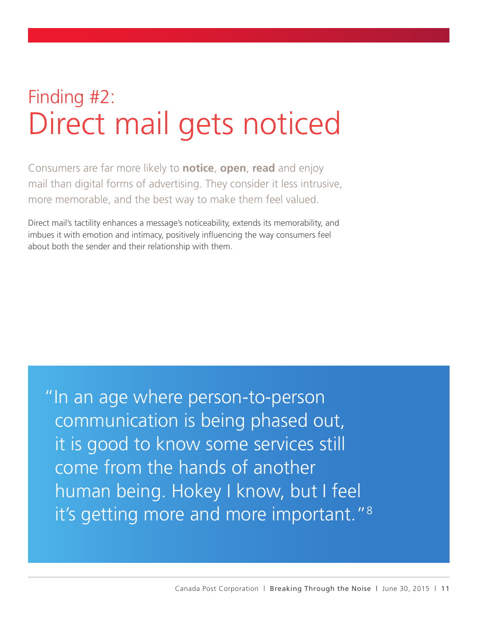## Finding #2: Direct mail gets noticed

Consumers are far more likely to **notice**, **open**, **read** and enjoy mail than digital forms of advertising. They consider it less intrusive, more memorable, and the best way to make them feel valued.

Direct mail's tactility enhances a message's noticeability, extends its memorability, and imbues it with emotion and intimacy, positively influencing the way consumers feel about both the sender and their relationship with them.

"In an age where person-to-person communication is being phased out, it is good to know some services still come from the hands of another human being. Hokey I know, but I feel it's getting more and more important."8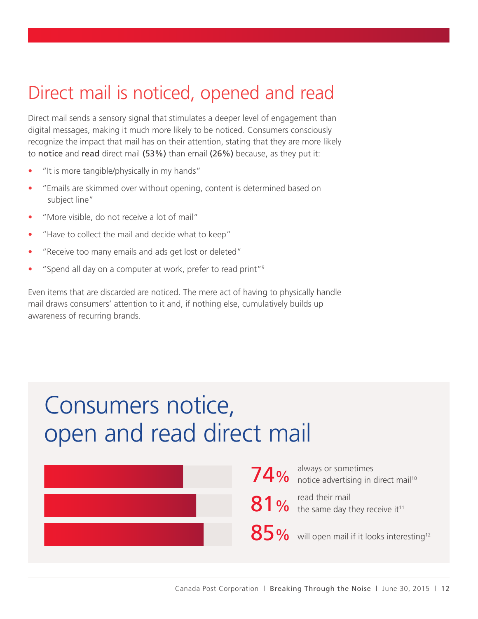#### Direct mail is noticed, opened and read

Direct mail sends a sensory signal that stimulates a deeper level of engagement than digital messages, making it much more likely to be noticed. Consumers consciously recognize the impact that mail has on their attention, stating that they are more likely to notice and read direct mail (53%) than email (26%) because, as they put it:

- "It is more tangible/physically in my hands"
- "Emails are skimmed over without opening, content is determined based on subject line"
- "More visible, do not receive a lot of mail"
- "Have to collect the mail and decide what to keep"
- "Receive too many emails and ads get lost or deleted"
- "Spend all day on a computer at work, prefer to read print"<sup>9</sup>

Even items that are discarded are noticed. The mere act of having to physically handle mail draws consumers' attention to it and, if nothing else, cumulatively builds up awareness of recurring brands.

#### Consumers notice, open and read direct mail

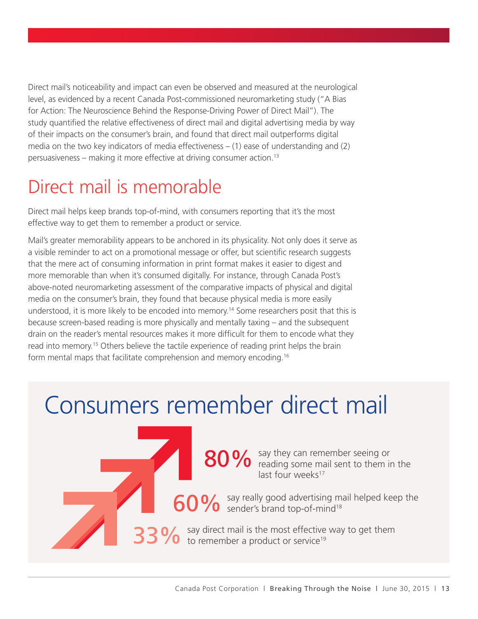Direct mail's noticeability and impact can even be observed and measured at the neurological level, as evidenced by a recent Canada Post-commissioned neuromarketing study ("A Bias for Action: The Neuroscience Behind the Response-Driving Power of Direct Mail"). The study quantified the relative effectiveness of direct mail and digital advertising media by way of their impacts on the consumer's brain, and found that direct mail outperforms digital media on the two key indicators of media effectiveness  $-$  (1) ease of understanding and (2) persuasiveness – making it more effective at driving consumer action.13

#### Direct mail is memorable

Direct mail helps keep brands top-of-mind, with consumers reporting that it's the most effective way to get them to remember a product or service.

Mail's greater memorability appears to be anchored in its physicality. Not only does it serve as a visible reminder to act on a promotional message or offer, but scientific research suggests that the mere act of consuming information in print format makes it easier to digest and more memorable than when it's consumed digitally. For instance, through Canada Post's above-noted neuromarketing assessment of the comparative impacts of physical and digital media on the consumer's brain, they found that because physical media is more easily understood, it is more likely to be encoded into memory.<sup>14</sup> Some researchers posit that this is because screen-based reading is more physically and mentally taxing – and the subsequent drain on the reader's mental resources makes it more difficult for them to encode what they read into memory.15 Others believe the tactile experience of reading print helps the brain form mental maps that facilitate comprehension and memory encoding.16

#### Consumers remember direct mail

80% say they can remember seeing or<br>
80% reading some mail sent to them in reading some mail sent to them in the last four weeks<sup>17</sup>

60% say really good advertising mail helped keep the sender's brand top-of-mind<sup>18</sup> sender's brand top-of-mind<sup>18</sup>

33% Say direct mail is the most effective way to get them<br>33% to remember a product or service<sup>19</sup> to remember a product or service<sup>19</sup>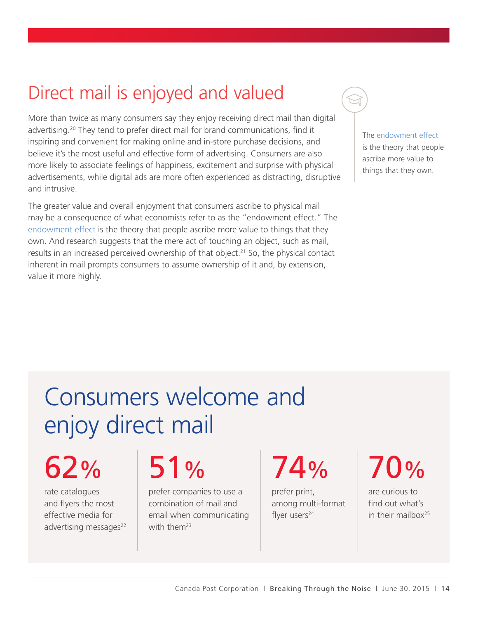#### Direct mail is enjoyed and valued

More than twice as many consumers say they enjoy receiving direct mail than digital advertising.20 They tend to prefer direct mail for brand communications, find it inspiring and convenient for making online and in-store purchase decisions, and believe it's the most useful and effective form of advertising. Consumers are also more likely to associate feelings of happiness, excitement and surprise with physical advertisements, while digital ads are more often experienced as distracting, disruptive and intrusive.

The greater value and overall enjoyment that consumers ascribe to physical mail may be a consequence of what economists refer to as the "endowment effect." The endowment effect is the theory that people ascribe more value to things that they own. And research suggests that the mere act of touching an object, such as mail, results in an increased perceived ownership of that object.<sup>21</sup> So, the physical contact inherent in mail prompts consumers to assume ownership of it and, by extension, value it more highly.

The endowment effect is the theory that people ascribe more value to things that they own.

# Consumers welcome and enjoy direct mail

62%

rate catalogues and flyers the most effective media for advertising messages<sup>22</sup>

# 51%

prefer companies to use a combination of mail and email when communicating with them<sup>23</sup>

74%

prefer print, among multi-format flyer users<sup>24</sup>

## 70%

are curious to find out what's in their mailbox<sup>25</sup>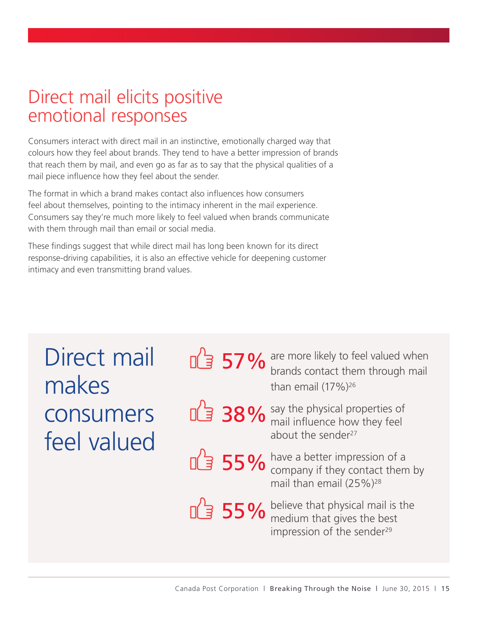#### Direct mail elicits positive emotional responses

Consumers interact with direct mail in an instinctive, emotionally charged way that colours how they feel about brands. They tend to have a better impression of brands that reach them by mail, and even go as far as to say that the physical qualities of a mail piece influence how they feel about the sender.

The format in which a brand makes contact also influences how consumers feel about themselves, pointing to the intimacy inherent in the mail experience. Consumers say they're much more likely to feel valued when brands communicate with them through mail than email or social media.

These findings suggest that while direct mail has long been known for its direct response-driving capabilities, it is also an effective vehicle for deepening customer intimacy and even transmitting brand values.

| Direct mail |  |
|-------------|--|
| makes       |  |
| consumers   |  |
| feel valued |  |

57% are more likely to feel valued when<br>brands contact them through mail  $\frac{1}{2}$  brands comactured<br>than email  $(17\%)^{26}$ 

- 38% say the physical properties of mail influence how they feel about the sender $27$ 
	- 55% have a better impression of a<br>
	S5% company if they contact them by mail than email  $(25\%)^{28}$

55% believe that physical mail is the medium that gives the best impression of the sender<sup>29</sup>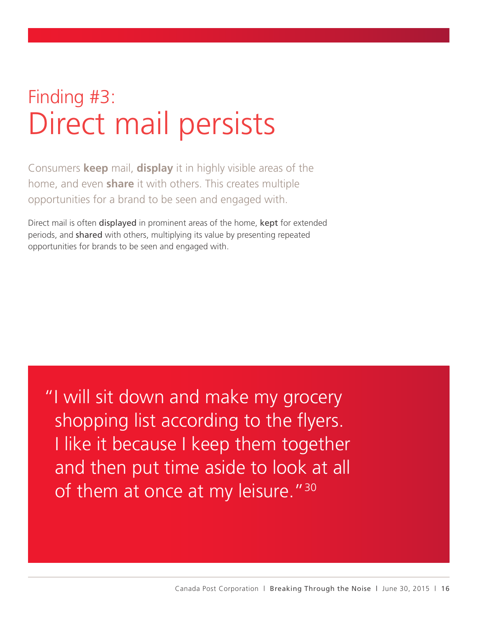### Finding #3: Direct mail persists

Consumers **keep** mail, **display** it in highly visible areas of the home, and even **share** it with others. This creates multiple opportunities for a brand to be seen and engaged with.

Direct mail is often displayed in prominent areas of the home, kept for extended periods, and shared with others, multiplying its value by presenting repeated opportunities for brands to be seen and engaged with.

"I will sit down and make my grocery shopping list according to the flyers. I like it because I keep them together and then put time aside to look at all of them at once at my leisure."<sup>30</sup>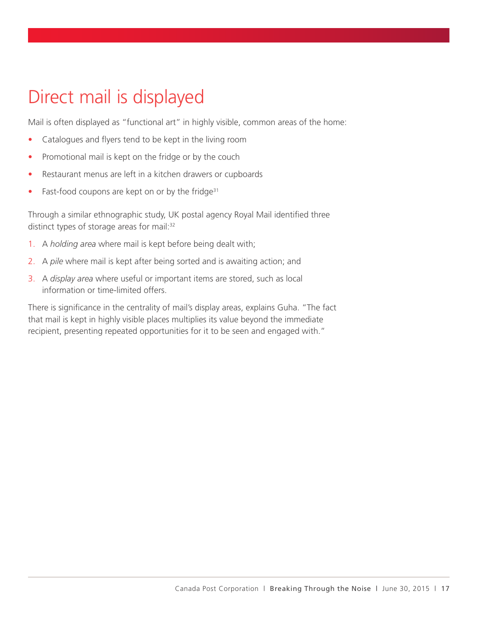#### Direct mail is displayed

Mail is often displayed as "functional art" in highly visible, common areas of the home:

- Catalogues and flyers tend to be kept in the living room
- Promotional mail is kept on the fridge or by the couch
- Restaurant menus are left in a kitchen drawers or cupboards
- Fast-food coupons are kept on or by the fridge $31$

Through a similar ethnographic study, UK postal agency Royal Mail identified three distinct types of storage areas for mail:<sup>32</sup>

- 1. A *holding area* where mail is kept before being dealt with;
- 2. A *pile* where mail is kept after being sorted and is awaiting action; and
- 3. A *display area* where useful or important items are stored, such as local information or time-limited offers.

There is significance in the centrality of mail's display areas, explains Guha. "The fact that mail is kept in highly visible places multiplies its value beyond the immediate recipient, presenting repeated opportunities for it to be seen and engaged with."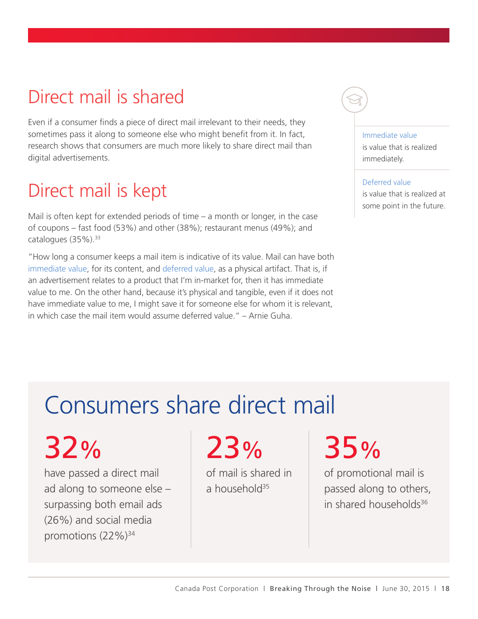#### Direct mail is shared

Even if a consumer finds a piece of direct mail irrelevant to their needs, they sometimes pass it along to someone else who might benefit from it. In fact, research shows that consumers are much more likely to share direct mail than digital advertisements.

#### Direct mail is kept

Mail is often kept for extended periods of time – a month or longer, in the case of coupons – fast food (53%) and other (38%); restaurant menus (49%); and catalogues (35%).<sup>33</sup>

"How long a consumer keeps a mail item is indicative of its value. Mail can have both immediate value, for its content, and deferred value, as a physical artifact. That is, if an advertisement relates to a product that I'm in-market for, then it has immediate value to me. On the other hand, because it's physical and tangible, even if it does not have immediate value to me, I might save it for someone else for whom it is relevant, in which case the mail item would assume deferred value." – Arnie Guha.

#### Immediate value

is value that is realized immediately.

Deferred value is value that is realized at some point in the future.

### Consumers share direct mail

# 32%

have passed a direct mail ad along to someone else – surpassing both email ads (26%) and social media promotions (22%)<sup>34</sup>

# 23%

of mail is shared in a household $35$ 

# 35%

of promotional mail is passed along to others, in shared households $36$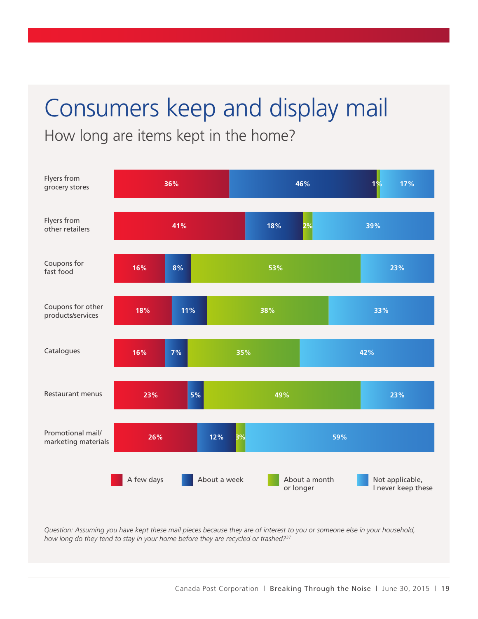## Consumers keep and display mail

How long are items kept in the home?



*Question: Assuming you have kept these mail pieces because they are of interest to you or someone else in your household, how long do they tend to stay in your home before they are recycled or trashed?*<sup>37</sup>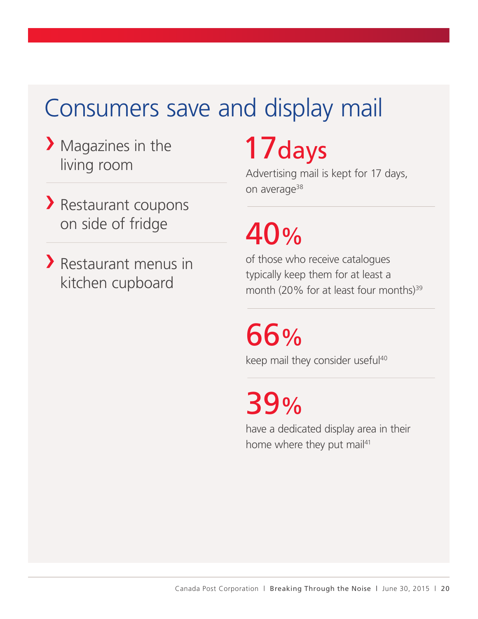### Consumers save and display mail

- Magazines in the living room
- Restaurant coupons on side of fridge
- Restaurant menus in kitchen cupboard

# 17days

Advertising mail is kept for 17 days, on average<sup>38</sup>

# 40%

of those who receive catalogues typically keep them for at least a month (20% for at least four months)<sup>39</sup>

66% keep mail they consider useful<sup>40</sup>

39%

have a dedicated display area in their home where they put mail<sup>41</sup>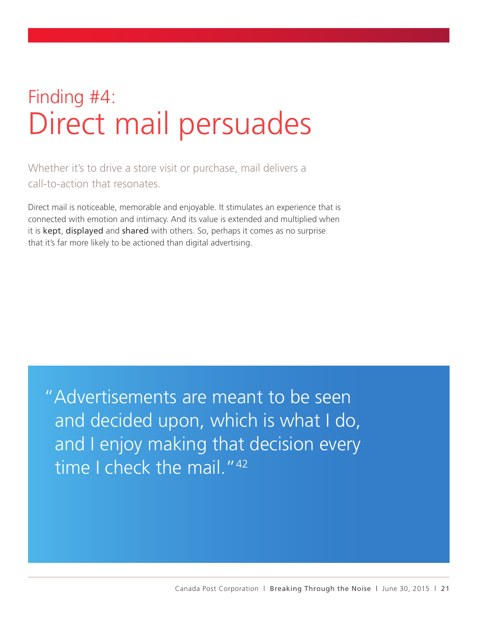## Finding #4: Direct mail persuades

Whether it's to drive a store visit or purchase, mail delivers a call-to-action that resonates.

Direct mail is noticeable, memorable and enjoyable. It stimulates an experience that is connected with emotion and intimacy. And its value is extended and multiplied when it is kept, displayed and shared with others. So, perhaps it comes as no surprise that it's far more likely to be actioned than digital advertising.

"Advertisements are meant to be seen and decided upon, which is what I do, and I enjoy making that decision every time I check the mail. "42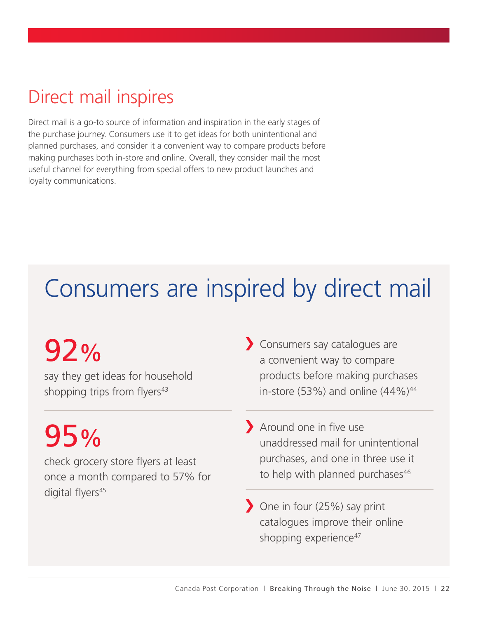#### Direct mail inspires

Direct mail is a go-to source of information and inspiration in the early stages of the purchase journey. Consumers use it to get ideas for both unintentional and planned purchases, and consider it a convenient way to compare products before making purchases both in-store and online. Overall, they consider mail the most useful channel for everything from special offers to new product launches and loyalty communications.

## Consumers are inspired by direct mail

# 92%

say they get ideas for household shopping trips from flyers<sup>43</sup>

# 95%

check grocery store flyers at least once a month compared to 57% for digital flyers<sup>45</sup>

- Consumers say catalogues are a convenient way to compare products before making purchases in-store (53%) and online  $(44\%)^{44}$
- Around one in five use unaddressed mail for unintentional purchases, and one in three use it to help with planned purchases<sup>46</sup>
- One in four (25%) say print catalogues improve their online shopping experience<sup>47</sup>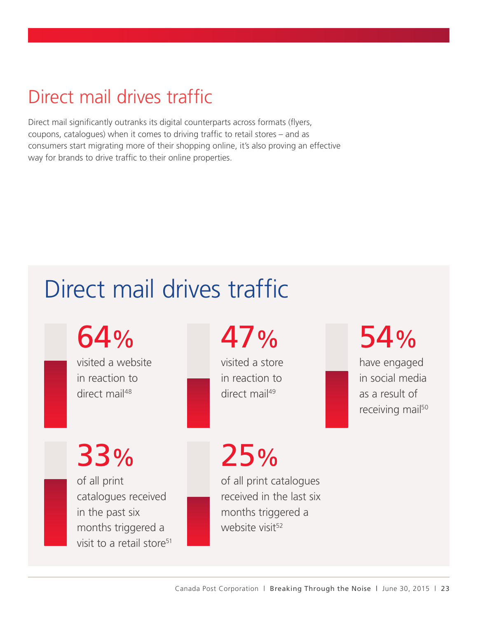#### Direct mail drives traffic

Direct mail significantly outranks its digital counterparts across formats (flyers, coupons, catalogues) when it comes to driving traffic to retail stores – and as consumers start migrating more of their shopping online, it's also proving an effective way for brands to drive traffic to their online properties.

### Direct mail drives traffic

64%

visited a website in reaction to direct mail<sup>48</sup>

47%

visited a store in reaction to direct mail<sup>49</sup>

54%

have engaged in social media as a result of receiving mail<sup>50</sup>

33% of all print

catalogues received in the past six months triggered a visit to a retail store<sup>51</sup> 25% of all print catalogues

received in the last six months triggered a website visit<sup>52</sup>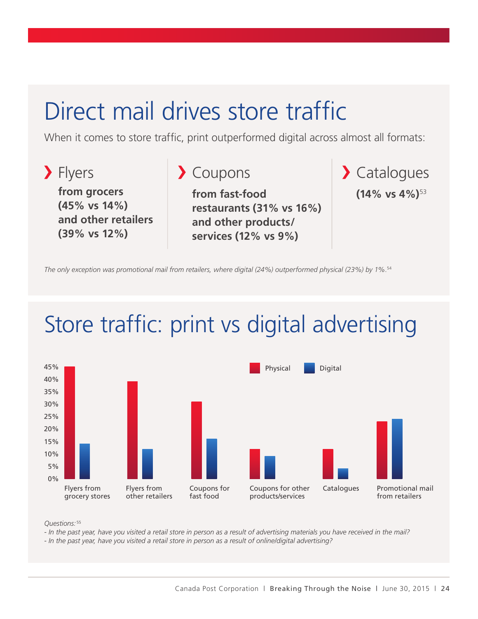#### Direct mail drives store traffic

When it comes to store traffic, print outperformed digital across almost all formats:



*The only exception was promotional mail from retailers, where digital (24%) outperformed physical (23%) by 1%.*<sup>54</sup>

### Store traffic: print vs digital advertising



*Questions:* <sup>55</sup>

*- In the past year, have you visited a retail store in person as a result of advertising materials you have received in the mail?* 

*- In the past year, have you visited a retail store in person as a result of online/digital advertising?*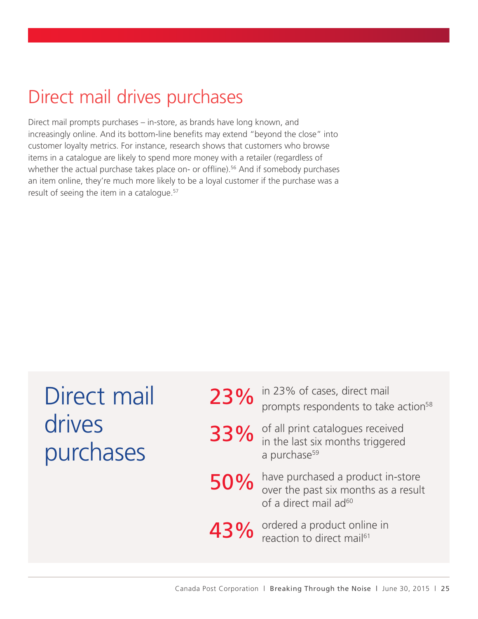#### Direct mail drives purchases

Direct mail prompts purchases – in-store, as brands have long known, and increasingly online. And its bottom-line benefits may extend "beyond the close" into customer loyalty metrics. For instance, research shows that customers who browse items in a catalogue are likely to spend more money with a retailer (regardless of whether the actual purchase takes place on- or offline).<sup>56</sup> And if somebody purchases an item online, they're much more likely to be a loyal customer if the purchase was a result of seeing the item in a catalogue.<sup>57</sup>

| Direct mail |  |
|-------------|--|
| drives      |  |
| purchases   |  |

|     | 23% of cases, direct mail<br>prompts respondents to take action <sup>58</sup>                                  |
|-----|----------------------------------------------------------------------------------------------------------------|
|     | 33% of all print cataloges.<br>a purchase <sup>59</sup>                                                        |
| 50% | have purchased a product in-store<br>over the past six months as a result<br>of a direct mail ad <sup>60</sup> |
|     | 43% ordered a product online in<br>reaction to direct mail <sup>61</sup>                                       |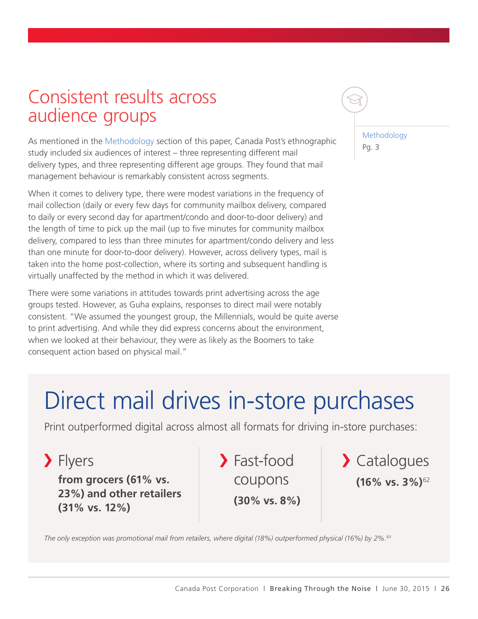#### Consistent results across audience groups

As mentioned in the Methodology section of this paper, Canada Post's ethnographic study included six audiences of interest – three representing different mail delivery types, and three representing different age groups. They found that mail management behaviour is remarkably consistent across segments.

When it comes to delivery type, there were modest variations in the frequency of mail collection (daily or every few days for community mailbox delivery, compared to daily or every second day for apartment/condo and door-to-door delivery) and the length of time to pick up the mail (up to five minutes for community mailbox delivery, compared to less than three minutes for apartment/condo delivery and less than one minute for door-to-door delivery). However, across delivery types, mail is taken into the home post-collection, where its sorting and subsequent handling is virtually unaffected by the method in which it was delivered.

There were some variations in attitudes towards print advertising across the age groups tested. However, as Guha explains, responses to direct mail were notably consistent. "We assumed the youngest group, the Millennials, would be quite averse to print advertising. And while they did express concerns about the environment, when we looked at their behaviour, they were as likely as the Boomers to take consequent action based on physical mail."

Methodology Pg. 3

#### Direct mail drives in-store purchases

Print outperformed digital across almost all formats for driving in-store purchases:

> Flyers

**from grocers (61% vs. 23%) and other retailers (31% vs. 12%) (30% vs. 8%)**

Fast-food

coupons **(16% vs. 3%)**<sup>62</sup> > Catalogues

*The only exception was promotional mail from retailers, where digital (18%) outperformed physical (16%) by 2%.*<sup>63</sup>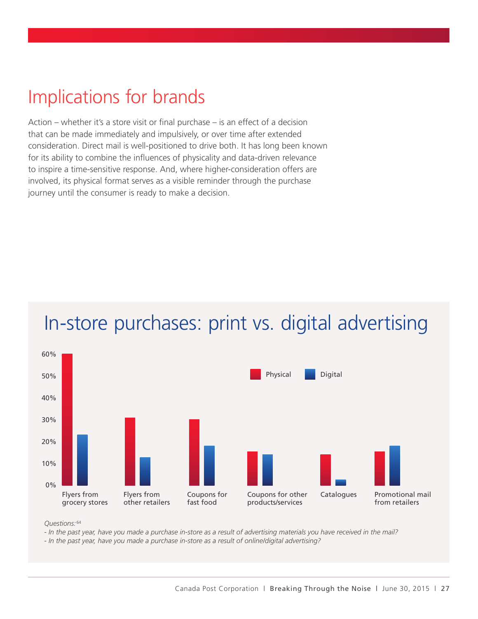#### Implications for brands

Action – whether it's a store visit or final purchase – is an effect of a decision that can be made immediately and impulsively, or over time after extended consideration. Direct mail is well-positioned to drive both. It has long been known for its ability to combine the influences of physicality and data-driven relevance to inspire a time-sensitive response. And, where higher-consideration offers are involved, its physical format serves as a visible reminder through the purchase journey until the consumer is ready to make a decision.



#### In-store purchases: print vs. digital advertising

*Questions:* <sup>64</sup>

*- In the past year, have you made a purchase in-store as a result of advertising materials you have received in the mail?*

*- In the past year, have you made a purchase in-store as a result of online/digital advertising?*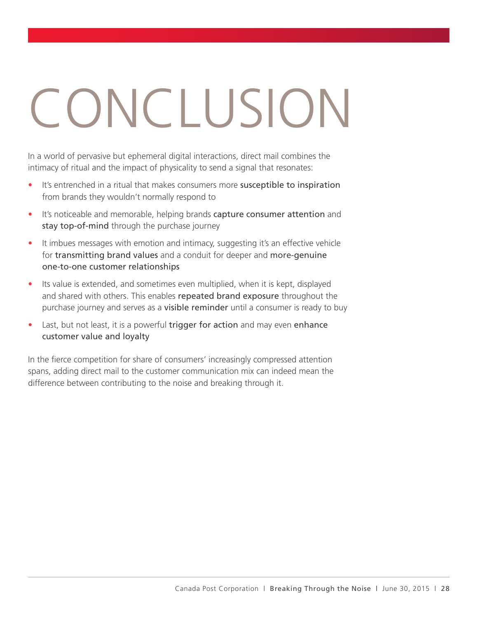# CONCLUSION

In a world of pervasive but ephemeral digital interactions, direct mail combines the intimacy of ritual and the impact of physicality to send a signal that resonates:

- It's entrenched in a ritual that makes consumers more susceptible to inspiration from brands they wouldn't normally respond to
- It's noticeable and memorable, helping brands capture consumer attention and stay top-of-mind through the purchase journey
- It imbues messages with emotion and intimacy, suggesting it's an effective vehicle for transmitting brand values and a conduit for deeper and more-genuine one-to-one customer relationships
- Its value is extended, and sometimes even multiplied, when it is kept, displayed and shared with others. This enables repeated brand exposure throughout the purchase journey and serves as a visible reminder until a consumer is ready to buy
- Last, but not least, it is a powerful trigger for action and may even enhance customer value and loyalty

In the fierce competition for share of consumers' increasingly compressed attention spans, adding direct mail to the customer communication mix can indeed mean the difference between contributing to the noise and breaking through it.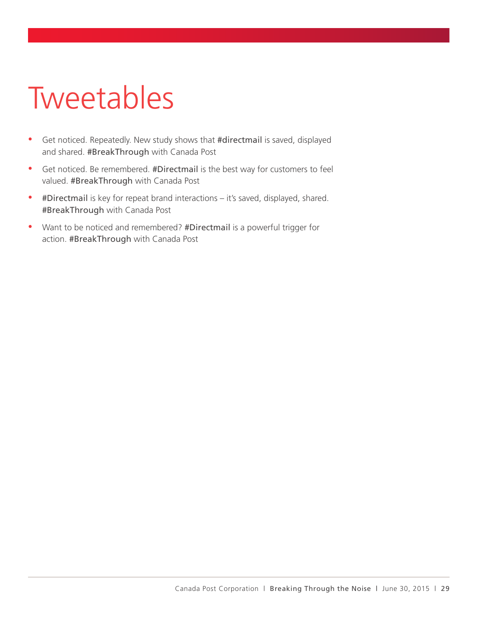# Tweetables

- Get noticed. Repeatedly. New study shows that #directmail is saved, displayed and shared. #BreakThrough with Canada Post
- Get noticed. Be remembered. #Directmail is the best way for customers to feel valued. #BreakThrough with Canada Post
- #Directmail is key for repeat brand interactions it's saved, displayed, shared. #BreakThrough with Canada Post
- Want to be noticed and remembered? #Directmail is a powerful trigger for action. #BreakThrough with Canada Post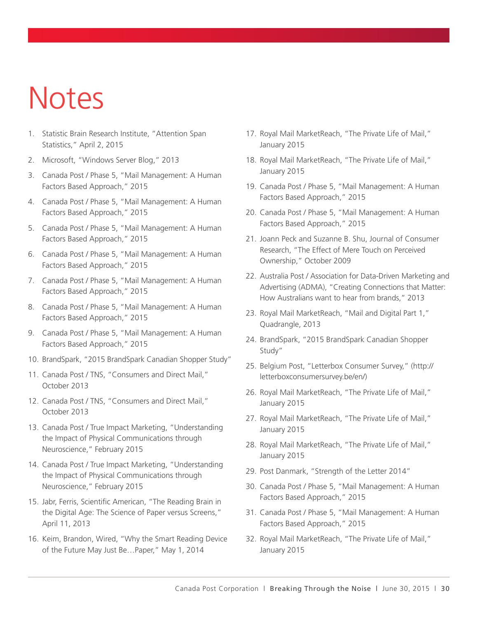# Notes

- 1. Statistic Brain Research Institute, "Attention Span Statistics," April 2, 2015
- 2. Microsoft, "Windows Server Blog," 2013
- 3. Canada Post / Phase 5, "Mail Management: A Human Factors Based Approach," 2015
- 4. Canada Post / Phase 5, "Mail Management: A Human Factors Based Approach," 2015
- 5. Canada Post / Phase 5, "Mail Management: A Human Factors Based Approach," 2015
- 6. Canada Post / Phase 5, "Mail Management: A Human Factors Based Approach," 2015
- 7. Canada Post / Phase 5, "Mail Management: A Human Factors Based Approach," 2015
- 8. Canada Post / Phase 5, "Mail Management: A Human Factors Based Approach," 2015
- 9. Canada Post / Phase 5, "Mail Management: A Human Factors Based Approach," 2015
- 10. BrandSpark, "2015 BrandSpark Canadian Shopper Study"
- 11. Canada Post / TNS, "Consumers and Direct Mail," October 2013
- 12. Canada Post / TNS, "Consumers and Direct Mail," October 2013
- 13. Canada Post / True Impact Marketing, "Understanding the Impact of Physical Communications through Neuroscience," February 2015
- 14. Canada Post / True Impact Marketing, "Understanding the Impact of Physical Communications through Neuroscience," February 2015
- 15. Jabr, Ferris, Scientific American, "The Reading Brain in the Digital Age: The Science of Paper versus Screens," April 11, 2013
- 16. Keim, Brandon, Wired, "Why the Smart Reading Device of the Future May Just Be…Paper," May 1, 2014
- 17. Royal Mail MarketReach, "The Private Life of Mail," January 2015
- 18. Royal Mail MarketReach, "The Private Life of Mail," January 2015
- 19. Canada Post / Phase 5, "Mail Management: A Human Factors Based Approach," 2015
- 20. Canada Post / Phase 5, "Mail Management: A Human Factors Based Approach," 2015
- 21. Joann Peck and Suzanne B. Shu, Journal of Consumer Research, "The Effect of Mere Touch on Perceived Ownership," October 2009
- 22. Australia Post / Association for Data-Driven Marketing and Advertising (ADMA), "Creating Connections that Matter: How Australians want to hear from brands," 2013
- 23. Royal Mail MarketReach, "Mail and Digital Part 1," Quadrangle, 2013
- 24. BrandSpark, "2015 BrandSpark Canadian Shopper Study"
- 25. Belgium Post, "Letterbox Consumer Survey," (http:// letterboxconsumersurvey.be/en/)
- 26. Royal Mail MarketReach, "The Private Life of Mail," January 2015
- 27. Royal Mail MarketReach, "The Private Life of Mail," January 2015
- 28. Royal Mail MarketReach, "The Private Life of Mail," January 2015
- 29. Post Danmark, "Strength of the Letter 2014"
- 30. Canada Post / Phase 5, "Mail Management: A Human Factors Based Approach," 2015
- 31. Canada Post / Phase 5, "Mail Management: A Human Factors Based Approach," 2015
- 32. Royal Mail MarketReach, "The Private Life of Mail," January 2015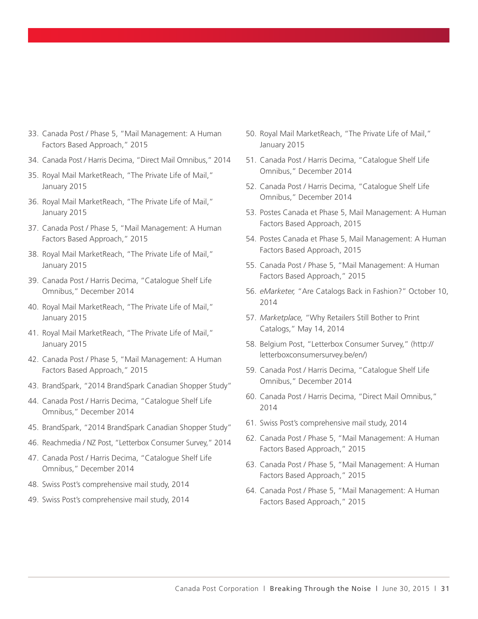- 33. Canada Post / Phase 5, "Mail Management: A Human Factors Based Approach," 2015
- 34. Canada Post / Harris Decima, "Direct Mail Omnibus," 2014
- 35. Royal Mail MarketReach, "The Private Life of Mail," January 2015
- 36. Royal Mail MarketReach, "The Private Life of Mail," January 2015
- 37. Canada Post / Phase 5, "Mail Management: A Human Factors Based Approach," 2015
- 38. Royal Mail MarketReach, "The Private Life of Mail," January 2015
- 39. Canada Post / Harris Decima, "Catalogue Shelf Life Omnibus," December 2014
- 40. Royal Mail MarketReach, "The Private Life of Mail," January 2015
- 41. Royal Mail MarketReach, "The Private Life of Mail," January 2015
- 42. Canada Post / Phase 5, "Mail Management: A Human Factors Based Approach," 2015
- 43. BrandSpark, "2014 BrandSpark Canadian Shopper Study"
- 44. Canada Post / Harris Decima, "Catalogue Shelf Life Omnibus," December 2014
- 45. BrandSpark, "2014 BrandSpark Canadian Shopper Study"
- 46. Reachmedia / NZ Post, "Letterbox Consumer Survey," 2014
- 47. Canada Post / Harris Decima, "Catalogue Shelf Life Omnibus," December 2014
- 48. Swiss Post's comprehensive mail study, 2014
- 49. Swiss Post's comprehensive mail study, 2014
- 50. Royal Mail MarketReach, "The Private Life of Mail," January 2015
- 51. Canada Post / Harris Decima, "Catalogue Shelf Life Omnibus," December 2014
- 52. Canada Post / Harris Decima, "Catalogue Shelf Life Omnibus," December 2014
- 53. Postes Canada et Phase 5, Mail Management: A Human Factors Based Approach, 2015
- 54. Postes Canada et Phase 5, Mail Management: A Human Factors Based Approach, 2015
- 55. Canada Post / Phase 5, "Mail Management: A Human Factors Based Approach," 2015
- 56. *eMarketer,* "Are Catalogs Back in Fashion?" October 10, 2014
- 57. *Marketplace,* "Why Retailers Still Bother to Print Catalogs," May 14, 2014
- 58. Belgium Post, "Letterbox Consumer Survey," (http:// letterboxconsumersurvey.be/en/)
- 59. Canada Post / Harris Decima, "Catalogue Shelf Life Omnibus," December 2014
- 60. Canada Post / Harris Decima, "Direct Mail Omnibus," 2014
- 61. Swiss Post's comprehensive mail study, 2014
- 62. Canada Post / Phase 5, "Mail Management: A Human Factors Based Approach," 2015
- 63. Canada Post / Phase 5, "Mail Management: A Human Factors Based Approach," 2015
- 64. Canada Post / Phase 5, "Mail Management: A Human Factors Based Approach," 2015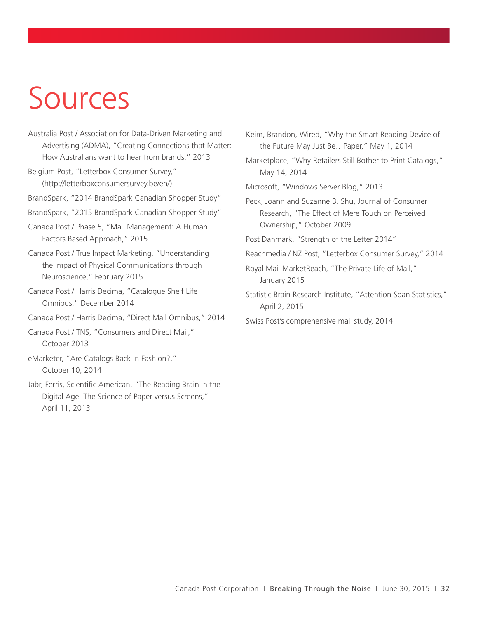# Sources

- Australia Post / Association for Data-Driven Marketing and Advertising (ADMA), "Creating Connections that Matter: How Australians want to hear from brands," 2013
- Belgium Post, "Letterbox Consumer Survey," (http://letterboxconsumersurvey.be/en/)
- BrandSpark, "2014 BrandSpark Canadian Shopper Study"
- BrandSpark, "2015 BrandSpark Canadian Shopper Study"
- Canada Post / Phase 5, "Mail Management: A Human Factors Based Approach," 2015
- Canada Post / True Impact Marketing, "Understanding the Impact of Physical Communications through Neuroscience," February 2015
- Canada Post / Harris Decima, "Catalogue Shelf Life Omnibus," December 2014
- Canada Post / Harris Decima, "Direct Mail Omnibus," 2014

Canada Post / TNS, "Consumers and Direct Mail," October 2013

eMarketer, "Are Catalogs Back in Fashion?," October 10, 2014

Jabr, Ferris, Scientific American, "The Reading Brain in the Digital Age: The Science of Paper versus Screens," April 11, 2013

Keim, Brandon, Wired, "Why the Smart Reading Device of the Future May Just Be…Paper," May 1, 2014

Marketplace, "Why Retailers Still Bother to Print Catalogs," May 14, 2014

Microsoft, "Windows Server Blog," 2013

Peck, Joann and Suzanne B. Shu, Journal of Consumer Research, "The Effect of Mere Touch on Perceived Ownership," October 2009

Post Danmark, "Strength of the Letter 2014"

- Reachmedia / NZ Post, "Letterbox Consumer Survey," 2014
- Royal Mail MarketReach, "The Private Life of Mail," January 2015
- Statistic Brain Research Institute, "Attention Span Statistics," April 2, 2015
- Swiss Post's comprehensive mail study, 2014